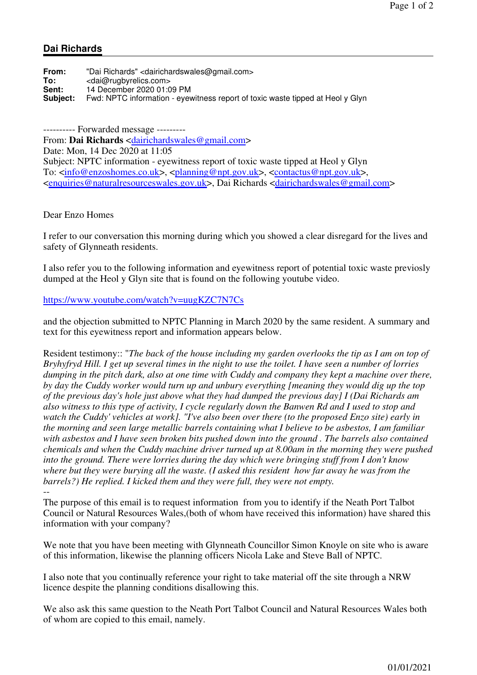## **Dai Richards**

| From:           | "Dai Richards" <dairichardswales@gmail.com></dairichardswales@gmail.com>       |
|-----------------|--------------------------------------------------------------------------------|
| To:             | <dai@rugbyrelics.com></dai@rugbyrelics.com>                                    |
| Sent:           | 14 December 2020 01:09 PM                                                      |
| <b>Subiect:</b> | Fwd: NPTC information - eyewitness report of toxic waste tipped at Heol y Glyn |

---------- Forwarded message --------- From: **Dai Richards** <dairichardswales@gmail.com> Date: Mon, 14 Dec 2020 at 11:05 Subject: NPTC information - eyewitness report of toxic waste tipped at Heol y Glyn To: <info@enzoshomes.co.uk>, <planning@npt.gov.uk>, <contactus@npt.gov.uk>, <enquiries@naturalresourceswales.gov.uk>, Dai Richards <dairichardswales@gmail.com>

Dear Enzo Homes

I refer to our conversation this morning during which you showed a clear disregard for the lives and safety of Glynneath residents.

I also refer you to the following information and eyewitness report of potential toxic waste previosly dumped at the Heol y Glyn site that is found on the following youtube video.

https://www.youtube.com/watch?v=uugKZC7N7Cs

and the objection submitted to NPTC Planning in March 2020 by the same resident. A summary and text for this eyewitness report and information appears below.

Resident testimony:: "*The back of the house including my garden overlooks the tip as I am on top of Bryhyfryd Hill. I get up several times in the night to use the toilet. I have seen a number of lorries dumping in the pitch dark, also at one time with Cuddy and company they kept a machine over there, by day the Cuddy worker would turn up and unbury everything [meaning they would dig up the top of the previous day's hole just above what they had dumped the previous day] I (Dai Richards am also witness to this type of activity, I cycle regularly down the Banwen Rd and I used to stop and watch the Cuddy' vehicles at work]. "I've also been over there (to the proposed Enzo site) early in the morning and seen large metallic barrels containing what I believe to be asbestos, I am familiar with asbestos and I have seen broken bits pushed down into the ground . The barrels also contained chemicals and when the Cuddy machine driver turned up at 8.00am in the morning they were pushed into the ground. There were lorries during the day which were bringing stuff from I don't know where but they were burying all the waste. (I asked this resident how far away he was from the barrels?) He replied. I kicked them and they were full, they were not empty.*

-- The purpose of this email is to request information from you to identify if the Neath Port Talbot Council or Natural Resources Wales,(both of whom have received this information) have shared this information with your company?

We note that you have been meeting with Glynneath Councillor Simon Knoyle on site who is aware of this information, likewise the planning officers Nicola Lake and Steve Ball of NPTC.

I also note that you continually reference your right to take material off the site through a NRW licence despite the planning conditions disallowing this.

We also ask this same question to the Neath Port Talbot Council and Natural Resources Wales both of whom are copied to this email, namely.